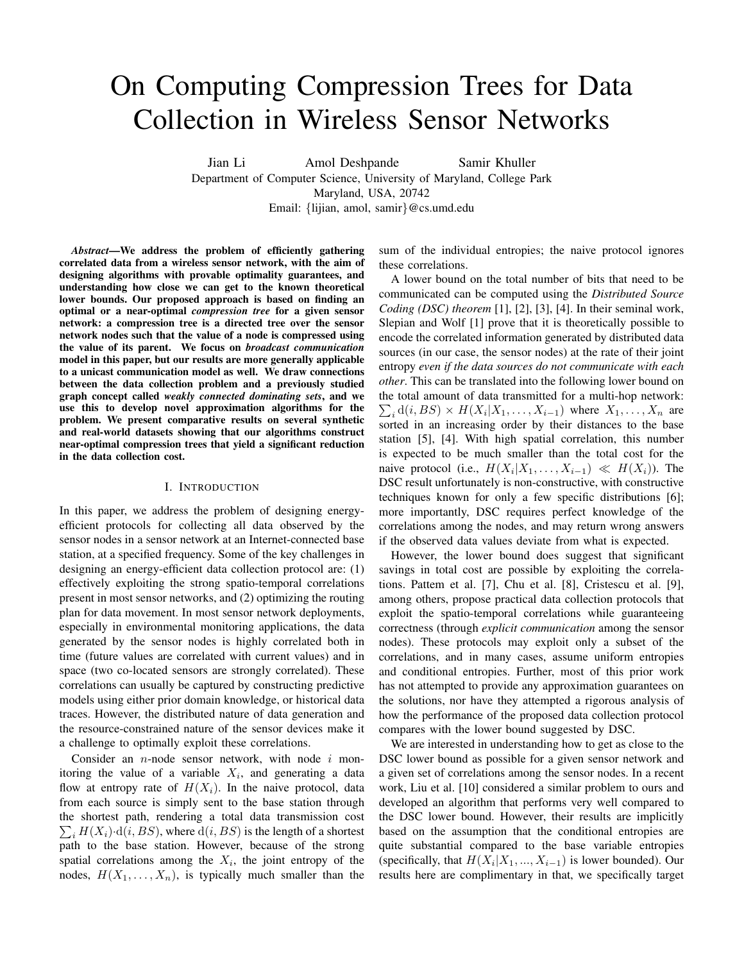# On Computing Compression Trees for Data Collection in Wireless Sensor Networks

Jian Li Amol Deshpande Samir Khuller

Department of Computer Science, University of Maryland, College Park Maryland, USA, 20742

Email: {lijian, amol, samir}@cs.umd.edu

*Abstract*—We address the problem of efficiently gathering correlated data from a wireless sensor network, with the aim of designing algorithms with provable optimality guarantees, and understanding how close we can get to the known theoretical lower bounds. Our proposed approach is based on finding an optimal or a near-optimal *compression tree* for a given sensor network: a compression tree is a directed tree over the sensor network nodes such that the value of a node is compressed using the value of its parent. We focus on *broadcast communication* model in this paper, but our results are more generally applicable to a unicast communication model as well. We draw connections between the data collection problem and a previously studied graph concept called *weakly connected dominating sets*, and we use this to develop novel approximation algorithms for the problem. We present comparative results on several synthetic and real-world datasets showing that our algorithms construct near-optimal compression trees that yield a significant reduction in the data collection cost.

## I. INTRODUCTION

In this paper, we address the problem of designing energyefficient protocols for collecting all data observed by the sensor nodes in a sensor network at an Internet-connected base station, at a specified frequency. Some of the key challenges in designing an energy-efficient data collection protocol are: (1) effectively exploiting the strong spatio-temporal correlations present in most sensor networks, and (2) optimizing the routing plan for data movement. In most sensor network deployments, especially in environmental monitoring applications, the data generated by the sensor nodes is highly correlated both in time (future values are correlated with current values) and in space (two co-located sensors are strongly correlated). These correlations can usually be captured by constructing predictive models using either prior domain knowledge, or historical data traces. However, the distributed nature of data generation and the resource-constrained nature of the sensor devices make it a challenge to optimally exploit these correlations.

Consider an  $n$ -node sensor network, with node  $i$  monitoring the value of a variable  $X_i$ , and generating a data flow at entropy rate of  $H(X_i)$ . In the naive protocol, data from each source is simply sent to the base station through the shortest path, rendering a total data transmission cost  $\sum_i H(X_i) \cdot d(i, BS)$ , where  $d(i, BS)$  is the length of a shortest path to the base station. However, because of the strong spatial correlations among the  $X_i$ , the joint entropy of the nodes,  $H(X_1, \ldots, X_n)$ , is typically much smaller than the sum of the individual entropies; the naive protocol ignores these correlations.

A lower bound on the total number of bits that need to be communicated can be computed using the *Distributed Source Coding (DSC) theorem* [1], [2], [3], [4]. In their seminal work, Slepian and Wolf [1] prove that it is theoretically possible to encode the correlated information generated by distributed data sources (in our case, the sensor nodes) at the rate of their joint entropy *even if the data sources do not communicate with each other*. This can be translated into the following lower bound on the total amount of data transmitted for a multi-hop network:  $\sum_i d(i, BS) \times H(X_i | X_1, \ldots, X_{i-1})$  where  $X_1, \ldots, X_n$  are sorted in an increasing order by their distances to the base station [5], [4]. With high spatial correlation, this number is expected to be much smaller than the total cost for the naive protocol (i.e.,  $H(X_i|X_1,\ldots,X_{i-1}) \ll H(X_i)$ ). The DSC result unfortunately is non-constructive, with constructive techniques known for only a few specific distributions [6]; more importantly, DSC requires perfect knowledge of the correlations among the nodes, and may return wrong answers if the observed data values deviate from what is expected.

However, the lower bound does suggest that significant savings in total cost are possible by exploiting the correlations. Pattem et al. [7], Chu et al. [8], Cristescu et al. [9], among others, propose practical data collection protocols that exploit the spatio-temporal correlations while guaranteeing correctness (through *explicit communication* among the sensor nodes). These protocols may exploit only a subset of the correlations, and in many cases, assume uniform entropies and conditional entropies. Further, most of this prior work has not attempted to provide any approximation guarantees on the solutions, nor have they attempted a rigorous analysis of how the performance of the proposed data collection protocol compares with the lower bound suggested by DSC.

We are interested in understanding how to get as close to the DSC lower bound as possible for a given sensor network and a given set of correlations among the sensor nodes. In a recent work, Liu et al. [10] considered a similar problem to ours and developed an algorithm that performs very well compared to the DSC lower bound. However, their results are implicitly based on the assumption that the conditional entropies are quite substantial compared to the base variable entropies (specifically, that  $H(X_i|X_1, ..., X_{i-1})$  is lower bounded). Our results here are complimentary in that, we specifically target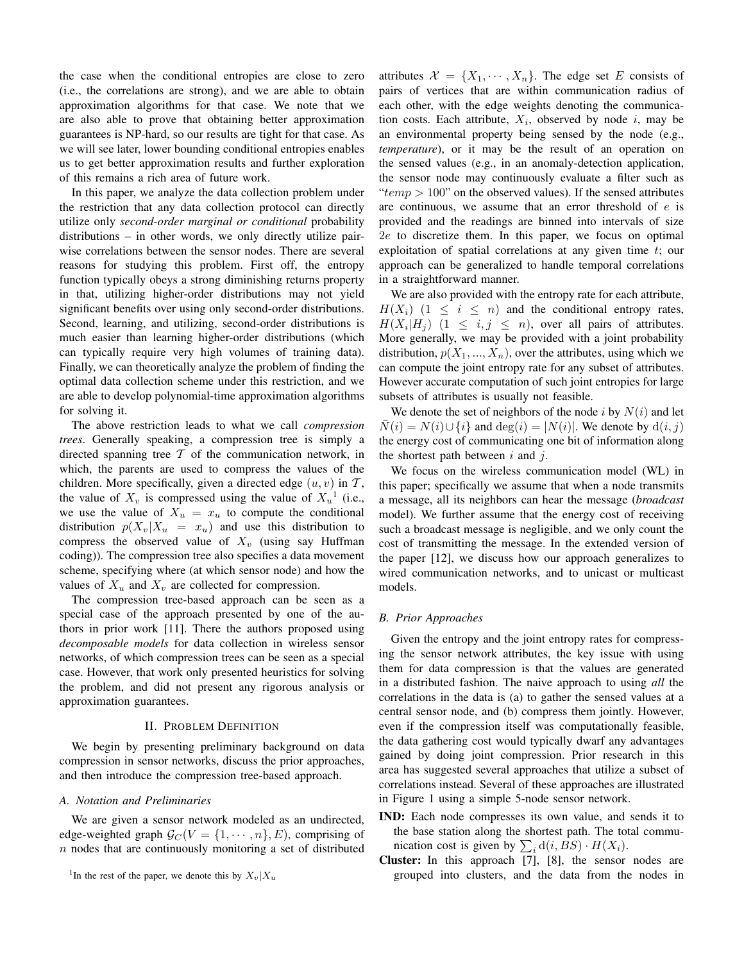the case when the conditional entropies are close to zero (i.e., the correlations are strong), and we are able to obtain approximation algorithms for that case. We note that we are also able to prove that obtaining better approximation guarantees is NP-hard, so our results are tight for that case. As we will see later, lower bounding conditional entropies enables us to get better approximation results and further exploration of this remains a rich area of future work.

In this paper, we analyze the data collection problem under the restriction that any data collection protocol can directly utilize only *second-order marginal or conditional* probability distributions – in other words, we only directly utilize pairwise correlations between the sensor nodes. There are several reasons for studying this problem. First off, the entropy function typically obeys a strong diminishing returns property in that, utilizing higher-order distributions may not yield significant benefits over using only second-order distributions. Second, learning, and utilizing, second-order distributions is much easier than learning higher-order distributions (which can typically require very high volumes of training data). Finally, we can theoretically analyze the problem of finding the optimal data collection scheme under this restriction, and we are able to develop polynomial-time approximation algorithms for solving it.

The above restriction leads to what we call *compression trees*. Generally speaking, a compression tree is simply a directed spanning tree  $T$  of the communication network, in which, the parents are used to compress the values of the children. More specifically, given a directed edge  $(u, v)$  in  $\mathcal{T}$ , the value of  $X_v$  is compressed using the value of  $X_u$ <sup>1</sup> (i.e., we use the value of  $X_u = x_u$  to compute the conditional distribution  $p(X_v|X_u = x_u)$  and use this distribution to compress the observed value of  $X_v$  (using say Huffman coding)). The compression tree also specifies a data movement scheme, specifying where (at which sensor node) and how the values of  $X_u$  and  $X_v$  are collected for compression.

The compression tree-based approach can be seen as a special case of the approach presented by one of the authors in prior work [11]. There the authors proposed using *decomposable models* for data collection in wireless sensor networks, of which compression trees can be seen as a special case. However, that work only presented heuristics for solving the problem, and did not present any rigorous analysis or approximation guarantees.

#### II. PROBLEM DEFINITION

We begin by presenting preliminary background on data compression in sensor networks, discuss the prior approaches, and then introduce the compression tree-based approach.

#### *A. Notation and Preliminaries*

We are given a sensor network modeled as an undirected, edge-weighted graph  $\mathcal{G}_C(V = \{1, \dots, n\}, E)$ , comprising of  $n$  nodes that are continuously monitoring a set of distributed attributes  $\mathcal{X} = \{X_1, \dots, X_n\}$ . The edge set E consists of pairs of vertices that are within communication radius of each other, with the edge weights denoting the communication costs. Each attribute,  $X_i$ , observed by node i, may be an environmental property being sensed by the node (e.g., *temperature*), or it may be the result of an operation on the sensed values (e.g., in an anomaly-detection application, the sensor node may continuously evaluate a filter such as " $temp > 100$ " on the observed values). If the sensed attributes are continuous, we assume that an error threshold of  $e$  is provided and the readings are binned into intervals of size 2e to discretize them. In this paper, we focus on optimal exploitation of spatial correlations at any given time  $t$ ; our approach can be generalized to handle temporal correlations in a straightforward manner.

We are also provided with the entropy rate for each attribute,  $H(X_i)$  (1  $\leq i \leq n$ ) and the conditional entropy rates,  $H(X_i|H_j)$   $(1 \leq i, j \leq n)$ , over all pairs of attributes. More generally, we may be provided with a joint probability distribution,  $p(X_1, ..., X_n)$ , over the attributes, using which we can compute the joint entropy rate for any subset of attributes. However accurate computation of such joint entropies for large subsets of attributes is usually not feasible.

We denote the set of neighbors of the node i by  $N(i)$  and let  $N(i) = N(i) \cup \{i\}$  and  $\text{deg}(i) = |N(i)|$ . We denote by  $d(i, j)$ the energy cost of communicating one bit of information along the shortest path between  $i$  and  $j$ .

We focus on the wireless communication model (WL) in this paper; specifically we assume that when a node transmits a message, all its neighbors can hear the message (*broadcast* model). We further assume that the energy cost of receiving such a broadcast message is negligible, and we only count the cost of transmitting the message. In the extended version of the paper [12], we discuss how our approach generalizes to wired communication networks, and to unicast or multicast models.

#### *B. Prior Approaches*

Given the entropy and the joint entropy rates for compressing the sensor network attributes, the key issue with using them for data compression is that the values are generated in a distributed fashion. The naive approach to using *all* the correlations in the data is (a) to gather the sensed values at a central sensor node, and (b) compress them jointly. However, even if the compression itself was computationally feasible, the data gathering cost would typically dwarf any advantages gained by doing joint compression. Prior research in this area has suggested several approaches that utilize a subset of correlations instead. Several of these approaches are illustrated in Figure 1 using a simple 5-node sensor network.

- IND: Each node compresses its own value, and sends it to the base station along the shortest path. The total communication cost is given by  $\sum_i d(i, BS) \cdot H(X_i)$ .
- Cluster: In this approach [7], [8], the sensor nodes are grouped into clusters, and the data from the nodes in

<sup>&</sup>lt;sup>1</sup>In the rest of the paper, we denote this by  $X_v|X_u$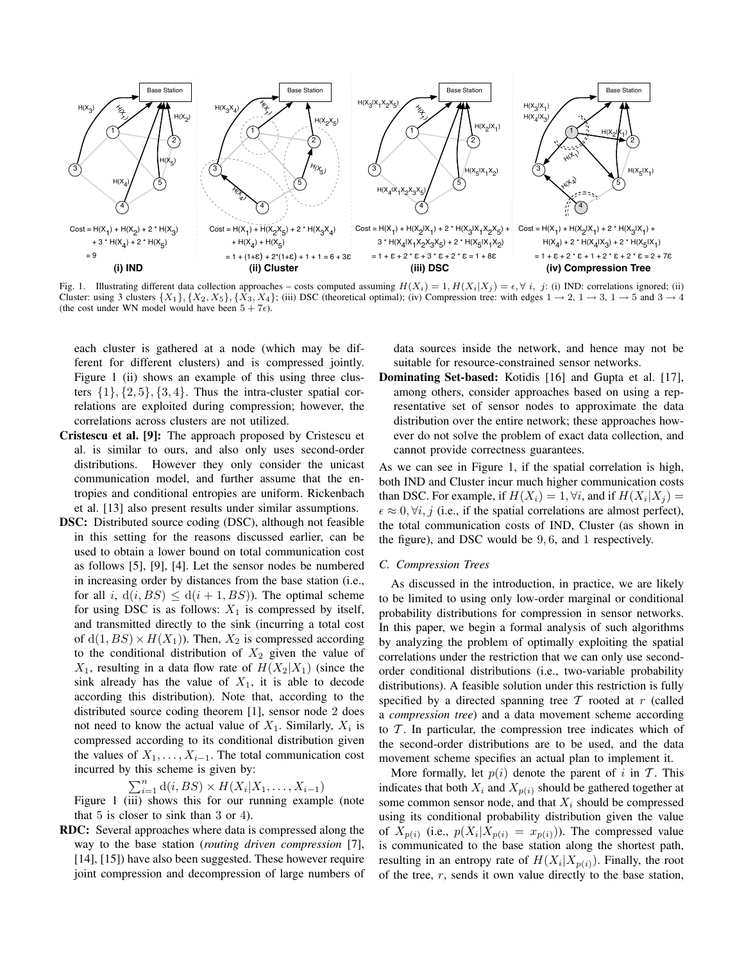

Fig. 1. Illustrating different data collection approaches – costs computed assuming  $H(X_i) = 1, H(X_i | X_j) = \epsilon, \forall i, j$ : (i) IND: correlations ignored; (ii) Cluster: using 3 clusters  $\{X_1\}, \{X_2, X_5\}, \{X_3, X_4\}$ ; (iii) DSC (theoretical optimal); (iv) Compression tree: with edges  $1 \rightarrow 2, 1 \rightarrow 3, 1 \rightarrow 5$  and  $3 \rightarrow 4$ (the cost under WN model would have been  $5 + 7\epsilon$ ).

each cluster is gathered at a node (which may be different for different clusters) and is compressed jointly. Figure 1 (ii) shows an example of this using three clusters  $\{1\}, \{2, 5\}, \{3, 4\}.$  Thus the intra-cluster spatial correlations are exploited during compression; however, the correlations across clusters are not utilized.

- Cristescu et al. [9]: The approach proposed by Cristescu et al. is similar to ours, and also only uses second-order distributions. However they only consider the unicast communication model, and further assume that the entropies and conditional entropies are uniform. Rickenbach et al. [13] also present results under similar assumptions.
- DSC: Distributed source coding (DSC), although not feasible in this setting for the reasons discussed earlier, can be used to obtain a lower bound on total communication cost as follows [5], [9], [4]. Let the sensor nodes be numbered in increasing order by distances from the base station (i.e., for all i,  $d(i, BS) \leq d(i + 1, BS)$ ). The optimal scheme for using DSC is as follows:  $X_1$  is compressed by itself, and transmitted directly to the sink (incurring a total cost of  $d(1, BS) \times H(X_1)$ . Then,  $X_2$  is compressed according to the conditional distribution of  $X_2$  given the value of  $X_1$ , resulting in a data flow rate of  $H(X_2|X_1)$  (since the sink already has the value of  $X_1$ , it is able to decode according this distribution). Note that, according to the distributed source coding theorem [1], sensor node 2 does not need to know the actual value of  $X_1$ . Similarly,  $X_i$  is compressed according to its conditional distribution given the values of  $X_1, \ldots, X_{i-1}$ . The total communication cost incurred by this scheme is given by:

 $\sum_{i=1}^{n} d(i, BS) \times H(X_i | X_1, \ldots, X_{i-1})$ 

Figure 1 (iii) shows this for our running example (note that 5 is closer to sink than 3 or 4).

RDC: Several approaches where data is compressed along the way to the base station (*routing driven compression* [7], [14], [15]) have also been suggested. These however require joint compression and decompression of large numbers of data sources inside the network, and hence may not be suitable for resource-constrained sensor networks.

Dominating Set-based: Kotidis [16] and Gupta et al. [17], among others, consider approaches based on using a representative set of sensor nodes to approximate the data distribution over the entire network; these approaches however do not solve the problem of exact data collection, and cannot provide correctness guarantees.

As we can see in Figure 1, if the spatial correlation is high, both IND and Cluster incur much higher communication costs than DSC. For example, if  $H(X_i) = 1, \forall i$ , and if  $H(X_i | X_j) =$  $\epsilon \approx 0, \forall i, j$  (i.e., if the spatial correlations are almost perfect), the total communication costs of IND, Cluster (as shown in the figure), and DSC would be 9, 6, and 1 respectively.

#### *C. Compression Trees*

As discussed in the introduction, in practice, we are likely to be limited to using only low-order marginal or conditional probability distributions for compression in sensor networks. In this paper, we begin a formal analysis of such algorithms by analyzing the problem of optimally exploiting the spatial correlations under the restriction that we can only use secondorder conditional distributions (i.e., two-variable probability distributions). A feasible solution under this restriction is fully specified by a directed spanning tree  $T$  rooted at  $r$  (called a *compression tree*) and a data movement scheme according to  $T$ . In particular, the compression tree indicates which of the second-order distributions are to be used, and the data movement scheme specifies an actual plan to implement it.

More formally, let  $p(i)$  denote the parent of i in T. This indicates that both  $X_i$  and  $X_{p(i)}$  should be gathered together at some common sensor node, and that  $X_i$  should be compressed using its conditional probability distribution given the value of  $X_{p(i)}$  (i.e.,  $p(X_i | X_{p(i)} = x_{p(i)})$ ). The compressed value is communicated to the base station along the shortest path, resulting in an entropy rate of  $H(X_i | X_{p(i)})$ . Finally, the root of the tree,  $r$ , sends it own value directly to the base station,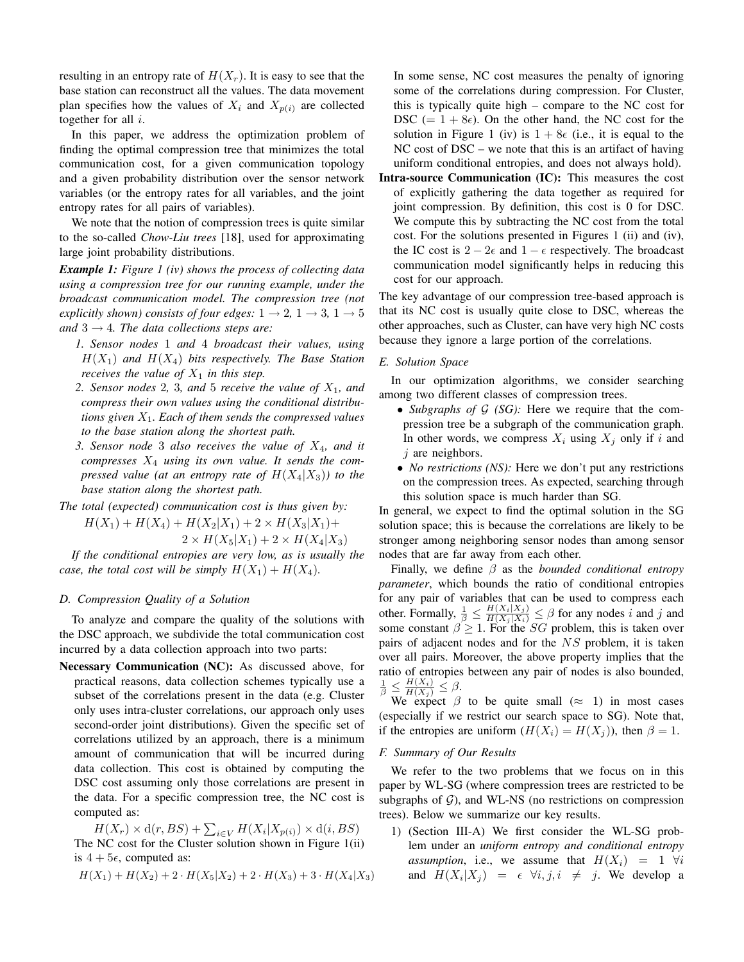resulting in an entropy rate of  $H(X_r)$ . It is easy to see that the base station can reconstruct all the values. The data movement plan specifies how the values of  $X_i$  and  $X_{p(i)}$  are collected together for all  $i$ .

In this paper, we address the optimization problem of finding the optimal compression tree that minimizes the total communication cost, for a given communication topology and a given probability distribution over the sensor network variables (or the entropy rates for all variables, and the joint entropy rates for all pairs of variables).

We note that the notion of compression trees is quite similar to the so-called *Chow-Liu trees* [18], used for approximating large joint probability distributions.

*Example 1: Figure 1 (iv) shows the process of collecting data using a compression tree for our running example, under the broadcast communication model. The compression tree (not explicitly shown) consists of four edges:*  $1 \rightarrow 2$ ,  $1 \rightarrow 3$ ,  $1 \rightarrow 5$ *and*  $3 \rightarrow 4$ *. The data collections steps are:* 

- *1. Sensor nodes* 1 *and* 4 *broadcast their values, using*  $H(X_1)$  *and*  $H(X_4)$  *bits respectively. The Base Station receives the value of*  $X_1$  *in this step.*
- 2. *Sensor nodes* 2, 3, and 5 *receive the value of*  $X_1$ *, and compress their own values using the conditional distributions given* X1*. Each of them sends the compressed values to the base station along the shortest path.*
- *3. Sensor node* 3 *also receives the value of* X4*, and it compresses* X<sup>4</sup> *using its own value. It sends the compressed value (at an entropy rate of*  $H(X_4|X_3)$ *) to the base station along the shortest path.*
- *The total (expected) communication cost is thus given by:*

$$
H(X_1) + H(X_4) + H(X_2|X_1) + 2 \times H(X_3|X_1) +
$$
  
2 \times H(X\_5|X\_1) + 2 \times H(X\_4|X\_3)

*If the conditional entropies are very low, as is usually the case, the total cost will be simply*  $H(X_1) + H(X_4)$ *.* 

## *D. Compression Quality of a Solution*

To analyze and compare the quality of the solutions with the DSC approach, we subdivide the total communication cost incurred by a data collection approach into two parts:

Necessary Communication (NC): As discussed above, for practical reasons, data collection schemes typically use a subset of the correlations present in the data (e.g. Cluster only uses intra-cluster correlations, our approach only uses second-order joint distributions). Given the specific set of correlations utilized by an approach, there is a minimum amount of communication that will be incurred during data collection. This cost is obtained by computing the DSC cost assuming only those correlations are present in the data. For a specific compression tree, the NC cost is computed as:

 $H(X_r) \times d(r, BS) + \sum_{i \in V} H(X_i | X_{p(i)}) \times d(i, BS)$ The NC cost for the Cluster solution shown in Figure 1(ii) is  $4 + 5\epsilon$ , computed as:

$$
H(X_1) + H(X_2) + 2 \cdot H(X_5|X_2) + 2 \cdot H(X_3) + 3 \cdot H(X_4|X_3)
$$

In some sense, NC cost measures the penalty of ignoring some of the correlations during compression. For Cluster, this is typically quite high – compare to the NC cost for DSC (=  $1 + 8\epsilon$ ). On the other hand, the NC cost for the solution in Figure 1 (iv) is  $1 + 8\epsilon$  (i.e., it is equal to the NC cost of DSC – we note that this is an artifact of having uniform conditional entropies, and does not always hold).

Intra-source Communication (IC): This measures the cost of explicitly gathering the data together as required for joint compression. By definition, this cost is 0 for DSC. We compute this by subtracting the NC cost from the total cost. For the solutions presented in Figures 1 (ii) and (iv), the IC cost is  $2 - 2\epsilon$  and  $1 - \epsilon$  respectively. The broadcast communication model significantly helps in reducing this cost for our approach.

The key advantage of our compression tree-based approach is that its NC cost is usually quite close to DSC, whereas the other approaches, such as Cluster, can have very high NC costs because they ignore a large portion of the correlations.

#### *E. Solution Space*

In our optimization algorithms, we consider searching among two different classes of compression trees.

- *Subgraphs of G (SG):* Here we require that the compression tree be a subgraph of the communication graph. In other words, we compress  $X_i$  using  $X_j$  only if i and  $j$  are neighbors.
- *No restrictions (NS)*: Here we don't put any restrictions on the compression trees. As expected, searching through this solution space is much harder than SG.

In general, we expect to find the optimal solution in the SG solution space; this is because the correlations are likely to be stronger among neighboring sensor nodes than among sensor nodes that are far away from each other.

Finally, we define β as the *bounded conditional entropy parameter*, which bounds the ratio of conditional entropies for any pair of variables that can be used to compress each other. Formally,  $\frac{1}{\beta} \leq \frac{H(X_i|X_j)}{H(X_j|X_i)} \leq \beta$  for any nodes i and j and some constant  $\beta \geq 1$ . For the SG problem, this is taken over pairs of adjacent nodes and for the NS problem, it is taken over all pairs. Moreover, the above property implies that the ratio of entropies between any pair of nodes is also bounded,  $\frac{1}{\beta} \leq \frac{H(X_i)}{H(X_i)} \leq \beta.$ 

We expect  $\beta$  to be quite small ( $\approx$  1) in most cases (especially if we restrict our search space to SG). Note that, if the entropies are uniform  $(H(X_i) = H(X_i))$ , then  $\beta = 1$ .

### *F. Summary of Our Results*

We refer to the two problems that we focus on in this paper by WL-SG (where compression trees are restricted to be subgraphs of  $G$ ), and WL-NS (no restrictions on compression trees). Below we summarize our key results.

1) (Section III-A) We first consider the WL-SG problem under an *uniform entropy and conditional entropy assumption*, i.e., we assume that  $H(X_i) = 1 \ \forall i$ and  $H(X_i|X_j) = \epsilon \ \forall i, j, i \neq j$ . We develop a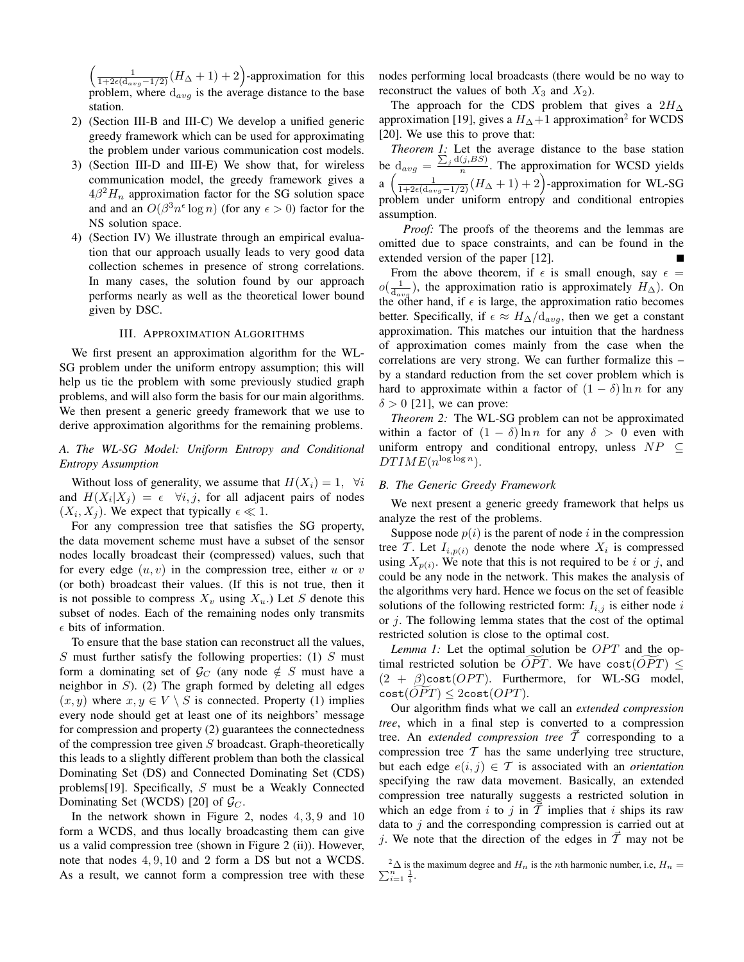$\left(\frac{1}{1+2\epsilon(d_{avg}-1/2)}(H_{\Delta}+1)+2\right)$ -approximation for this problem, where  $d_{avg}$  is the average distance to the base station.

- 2) (Section III-B and III-C) We develop a unified generic greedy framework which can be used for approximating the problem under various communication cost models.
- 3) (Section III-D and III-E) We show that, for wireless communication model, the greedy framework gives a  $4\beta^2 H_n$  approximation factor for the SG solution space and and an  $O(\beta^3 n^{\epsilon} \log n)$  (for any  $\epsilon > 0$ ) factor for the NS solution space.
- 4) (Section IV) We illustrate through an empirical evaluation that our approach usually leads to very good data collection schemes in presence of strong correlations. In many cases, the solution found by our approach performs nearly as well as the theoretical lower bound given by DSC.

### III. APPROXIMATION ALGORITHMS

We first present an approximation algorithm for the WL-SG problem under the uniform entropy assumption; this will help us tie the problem with some previously studied graph problems, and will also form the basis for our main algorithms. We then present a generic greedy framework that we use to derive approximation algorithms for the remaining problems.

# *A. The WL-SG Model: Uniform Entropy and Conditional Entropy Assumption*

Without loss of generality, we assume that  $H(X_i) = 1$ ,  $\forall i$ and  $H(X_i | X_j) = \epsilon$   $\forall i, j$ , for all adjacent pairs of nodes  $(X_i, X_j)$ . We expect that typically  $\epsilon \ll 1$ .

For any compression tree that satisfies the SG property, the data movement scheme must have a subset of the sensor nodes locally broadcast their (compressed) values, such that for every edge  $(u, v)$  in the compression tree, either u or v (or both) broadcast their values. (If this is not true, then it is not possible to compress  $X_v$  using  $X_u$ .) Let S denote this subset of nodes. Each of the remaining nodes only transmits  $\epsilon$  bits of information.

To ensure that the base station can reconstruct all the values, S must further satisfy the following properties: (1) S must form a dominating set of  $\mathcal{G}_C$  (any node  $\notin S$  must have a neighbor in  $S$ ). (2) The graph formed by deleting all edges  $(x, y)$  where  $x, y \in V \setminus S$  is connected. Property (1) implies every node should get at least one of its neighbors' message for compression and property (2) guarantees the connectedness of the compression tree given S broadcast. Graph-theoretically this leads to a slightly different problem than both the classical Dominating Set (DS) and Connected Dominating Set (CDS) problems[19]. Specifically, S must be a Weakly Connected Dominating Set (WCDS) [20] of  $\mathcal{G}_C$ .

In the network shown in Figure 2, nodes 4, 3, 9 and 10 form a WCDS, and thus locally broadcasting them can give us a valid compression tree (shown in Figure 2 (ii)). However, note that nodes 4, 9, 10 and 2 form a DS but not a WCDS. As a result, we cannot form a compression tree with these nodes performing local broadcasts (there would be no way to reconstruct the values of both  $X_3$  and  $X_2$ ).

The approach for the CDS problem that gives a  $2H<sub>\Delta</sub>$ approximation [19], gives a  $H_{\Delta}+1$  approximation<sup>2</sup> for WCDS [20]. We use this to prove that:

*Theorem 1:* Let the average distance to the base station be  $d_{avg} = \frac{\sum_j d(j, BS)}{n}$  $\frac{1}{n}$ . The approximation for WCSD yields a  $\left(\frac{1}{1+2\epsilon(d_{avg}-1/2)}(H_{\Delta}+1)+2\right)$ -approximation for WL-SG problem under uniform entropy and conditional entropies assumption.

*Proof:* The proofs of the theorems and the lemmas are omitted due to space constraints, and can be found in the extended version of the paper [12].

From the above theorem, if  $\epsilon$  is small enough, say  $\epsilon$  =  $o(\frac{1}{d_{avg}})$ , the approximation ratio is approximately  $H_{\Delta}$ ). On the other hand, if  $\epsilon$  is large, the approximation ratio becomes better. Specifically, if  $\epsilon \approx H_{\Delta}/d_{avg}$ , then we get a constant approximation. This matches our intuition that the hardness of approximation comes mainly from the case when the correlations are very strong. We can further formalize this – by a standard reduction from the set cover problem which is hard to approximate within a factor of  $(1 - \delta) \ln n$  for any  $\delta > 0$  [21], we can prove:

*Theorem 2:* The WL-SG problem can not be approximated within a factor of  $(1 - \delta) \ln n$  for any  $\delta > 0$  even with uniform entropy and conditional entropy, unless  $NP \subseteq$  $DTIME(n^{\log \log n})$ .

#### *B. The Generic Greedy Framework*

We next present a generic greedy framework that helps us analyze the rest of the problems.

Suppose node  $p(i)$  is the parent of node i in the compression tree T. Let  $I_{i,p(i)}$  denote the node where  $X_i$  is compressed using  $X_{p(i)}$ . We note that this is not required to be i or j, and could be any node in the network. This makes the analysis of the algorithms very hard. Hence we focus on the set of feasible solutions of the following restricted form:  $I_{i,j}$  is either node i or  $j$ . The following lemma states that the cost of the optimal restricted solution is close to the optimal cost.

*Lemma 1:* Let the optimal solution be *OPT* and the optimal restricted solution be OPT. We have cost(OPT)  $\leq$  $(2 + \beta)\text{cost}(OPT)$ . Furthermore, for WL-SG model,  $cost(OPT) \leq 2cost(OPT)$ .

Our algorithm finds what we call an *extended compression tree*, which in a final step is converted to a compression tree. An *extended compression tree*  $\overline{T}$  corresponding to a compression tree  $\mathcal T$  has the same underlying tree structure, but each edge  $e(i, j) \in \mathcal{T}$  is associated with an *orientation* specifying the raw data movement. Basically, an extended compression tree naturally suggests a restricted solution in which an edge from i to j in  $\overrightarrow{T}$  implies that i ships its raw data to  $i$  and the corresponding compression is carried out at j. We note that the direction of the edges in  $\overrightarrow{T}$  may not be

 $\sum_{i=1}^n \frac{1}{i}$ .  $^{2}\Delta$  is the maximum degree and  $H_n$  is the nth harmonic number, i.e,  $H_n =$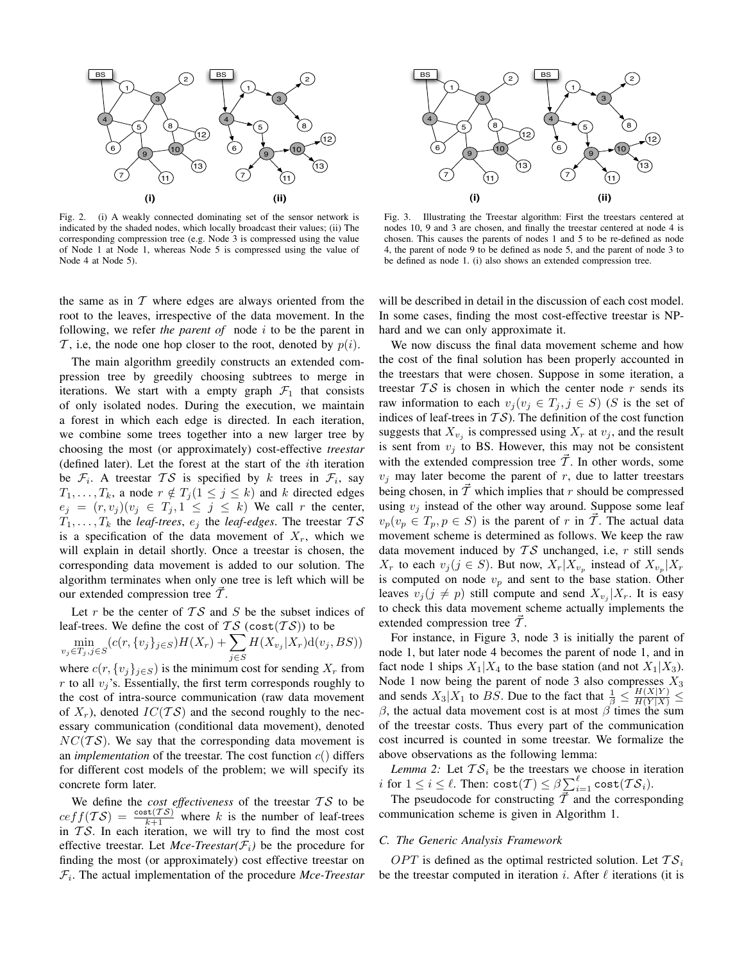

Fig. 2. (i) A weakly connected dominating set of the sensor network is indicated by the shaded nodes, which locally broadcast their values; (ii) The corresponding compression tree (e.g. Node 3 is compressed using the value of Node 1 at Node 1, whereas Node 5 is compressed using the value of Node 4 at Node 5).

the same as in  $T$  where edges are always oriented from the root to the leaves, irrespective of the data movement. In the following, we refer *the parent of* node i to be the parent in T, i.e, the node one hop closer to the root, denoted by  $p(i)$ .

The main algorithm greedily constructs an extended compression tree by greedily choosing subtrees to merge in iterations. We start with a empty graph  $\mathcal{F}_1$  that consists of only isolated nodes. During the execution, we maintain a forest in which each edge is directed. In each iteration, we combine some trees together into a new larger tree by choosing the most (or approximately) cost-effective *treestar* (defined later). Let the forest at the start of the ith iteration be  $\mathcal{F}_i$ . A treestar  $TS$  is specified by k trees in  $\mathcal{F}_i$ , say  $T_1, \ldots, T_k$ , a node  $r \notin T_j (1 \leq j \leq k)$  and k directed edges  $e_j = (r, v_j)(v_j \in T_j, 1 \le j \le k)$  We call r the center,  $T_1, \ldots, T_k$  the *leaf-trees*,  $e_i$  the *leaf-edges*. The treestar  $TS$ is a specification of the data movement of  $X_r$ , which we will explain in detail shortly. Once a treestar is chosen, the corresponding data movement is added to our solution. The algorithm terminates when only one tree is left which will be our extended compression tree  $\vec{T}$ .

Let r be the center of  $TS$  and S be the subset indices of leaf-trees. We define the cost of  $TS$  (cost( $TS$ )) to be

$$
\min_{v_j \in T_j, j \in S} (c(r, \{v_j\}_{j \in S}) H(X_r) + \sum_{j \in S} H(X_{v_j} | X_r) d(v_j, BS))
$$

where  $c(r, \{v_i\}_{i\in S})$  is the minimum cost for sending  $X_r$  from  $r$  to all  $v_j$ 's. Essentially, the first term corresponds roughly to the cost of intra-source communication (raw data movement of  $X_r$ ), denoted  $IC(TS)$  and the second roughly to the necessary communication (conditional data movement), denoted  $NC(TS)$ . We say that the corresponding data movement is an *implementation* of the treestar. The cost function  $c()$  differs for different cost models of the problem; we will specify its concrete form later.

We define the *cost effectiveness* of the treestar TS to be  $ceff(\mathcal{TS}) = \frac{\text{cost}(\mathcal{TS})}{k+1}$  where k is the number of leaf-trees in  $TS$ . In each iteration, we will try to find the most cost effective treestar. Let *Mce-Treestar*( $F_i$ ) be the procedure for finding the most (or approximately) cost effective treestar on Fi . The actual implementation of the procedure *Mce-Treestar*



Fig. 3. Illustrating the Treestar algorithm: First the treestars centered at nodes 10, 9 and 3 are chosen, and finally the treestar centered at node 4 is chosen. This causes the parents of nodes 1 and 5 to be re-defined as node 4, the parent of node 9 to be defined as node 5, and the parent of node 3 to be defined as node 1. (i) also shows an extended compression tree.

will be described in detail in the discussion of each cost model. In some cases, finding the most cost-effective treestar is NPhard and we can only approximate it.

We now discuss the final data movement scheme and how the cost of the final solution has been properly accounted in the treestars that were chosen. Suppose in some iteration, a treestar  $TS$  is chosen in which the center node r sends its raw information to each  $v_j (v_j \in T_j, j \in S)$  (S is the set of indices of leaf-trees in  $TS$ ). The definition of the cost function suggests that  $X_{v_j}$  is compressed using  $X_r$  at  $v_j$ , and the result is sent from  $v_j$  to BS. However, this may not be consistent with the extended compression tree  $\vec{T}$ . In other words, some  $v_i$  may later become the parent of r, due to latter treestars being chosen, in  $\vec{T}$  which implies that r should be compressed using  $v_i$  instead of the other way around. Suppose some leaf  $v_p(v_p \in T_p, p \in S)$  is the parent of r in  $\overline{T}$ . The actual data movement scheme is determined as follows. We keep the raw data movement induced by  $TS$  unchanged, i.e, r still sends  $X_r$  to each  $v_j (j \in S)$ . But now,  $X_r | X_{v_p}$  instead of  $X_{v_p} | X_r$ is computed on node  $v_p$  and sent to the base station. Other leaves  $v_j (j \neq p)$  still compute and send  $X_{v_j} | X_r$ . It is easy to check this data movement scheme actually implements the extended compression tree  $\tilde{T}$ .

For instance, in Figure 3, node 3 is initially the parent of node 1, but later node 4 becomes the parent of node 1, and in fact node 1 ships  $X_1|X_4$  to the base station (and not  $X_1|X_3$ ). Node 1 now being the parent of node 3 also compresses  $X_3$ and sends  $X_3|X_1$  to BS. Due to the fact that  $\frac{1}{\beta} \leq \frac{H(X|Y)}{H(Y|X)} \leq$ β, the actual data movement cost is at most β times the sum of the treestar costs. Thus every part of the communication cost incurred is counted in some treestar. We formalize the above observations as the following lemma:

*Lemma 2:* Let  $TS_i$  be the treestars we choose in iteration  $i$  for  $1\leq i\leq \ell.$  Then:  $\mathsf{cost}(\mathcal{T})\leq \beta\sum_{i=1}^{\ell} \mathsf{cost}(\mathcal{TS}_i).$ 

The pseudocode for constructing  $\overrightarrow{T}$  and the corresponding communication scheme is given in Algorithm 1.

#### *C. The Generic Analysis Framework*

OPT is defined as the optimal restricted solution. Let  $TS_i$ be the treestar computed in iteration i. After  $\ell$  iterations (it is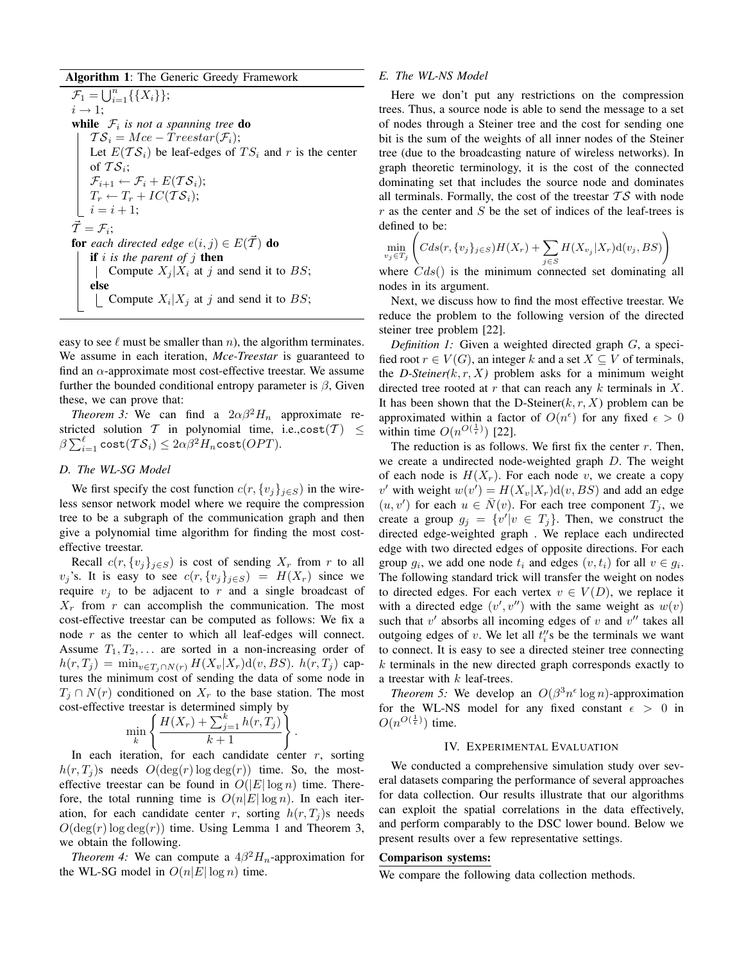Algorithm 1: The Generic Greedy Framework

 $\mathcal{F}_1 = \bigcup_{i=1}^n \{\{X_i\}\};$  $i \rightarrow 1$ ; while  $\mathcal{F}_i$  is not a spanning tree do  $TS_i = Mce - Treestar(\mathcal{F}_i);$ Let  $E(TS_i)$  be leaf-edges of  $TS_i$  and r is the center of  $TS_i$ ;  $\mathcal{F}_{i+1} \leftarrow \mathcal{F}_i + E(T\mathcal{S}_i);$  $T_r \leftarrow T_r + IC(TS_i);$  $i = i + 1;$  $\vec{\mathcal{T}} = \mathcal{F}_i;$ **for** each directed edge  $e(i, j) \in E(\overrightarrow{T})$  **do** if i *is the parent of* j then Compute  $X_j | X_i$  at j and send it to BS; else Compute  $X_i | X_j$  at j and send it to  $BS$ ;

easy to see  $\ell$  must be smaller than n), the algorithm terminates. We assume in each iteration, *Mce-Treestar* is guaranteed to find an  $\alpha$ -approximate most cost-effective treestar. We assume further the bounded conditional entropy parameter is  $\beta$ , Given these, we can prove that:

*Theorem 3:* We can find a  $2\alpha\beta^2H_n$  approximate restricted solution T in polynomial time, i.e.,cost(T)  $\leq$  $\beta \sum_{i=1}^\ell \mathsf{cost}(\mathcal{TS}_i) \leq 2\alpha \beta^2 H_n \mathsf{cost}(OPT).$ 

# *D. The WL-SG Model*

We first specify the cost function  $c(r, \{v_j\}_{j\in S})$  in the wireless sensor network model where we require the compression tree to be a subgraph of the communication graph and then give a polynomial time algorithm for finding the most costeffective treestar.

Recall  $c(r, \{v_i\}_{i \in S})$  is cost of sending  $X_r$  from r to all v<sub>j</sub>'s. It is easy to see  $c(r, \{v_j\}_{j\in S}) = H(X_r)$  since we require  $v_j$  to be adjacent to r and a single broadcast of  $X_r$  from r can accomplish the communication. The most cost-effective treestar can be computed as follows: We fix a node  $r$  as the center to which all leaf-edges will connect. Assume  $T_1, T_2, \ldots$  are sorted in a non-increasing order of  $h(r, T_j) = \min_{v \in T_j \cap N(r)} H(X_v | X_r) d(v, BS)$ .  $h(r, T_j)$  captures the minimum cost of sending the data of some node in  $T_i \cap N(r)$  conditioned on  $X_r$  to the base station. The most cost-effective treestar is determined simply by

$$
\min_{k} \left\{ \frac{H(X_r) + \sum_{j=1}^{k} h(r, T_j)}{k+1} \right\}
$$

.

In each iteration, for each candidate center  $r$ , sorting  $h(r, T_i)$ s needs  $O(\deg(r) \log \deg(r))$  time. So, the mosteffective treestar can be found in  $O(|E| \log n)$  time. Therefore, the total running time is  $O(n|E| \log n)$ . In each iteration, for each candidate center r, sorting  $h(r, T<sub>i</sub>)$ s needs  $O(\deg(r) \log \deg(r))$  time. Using Lemma 1 and Theorem 3, we obtain the following.

*Theorem 4:* We can compute a  $4\beta^2 H_n$ -approximation for the WL-SG model in  $O(n|E| \log n)$  time.

## *E. The WL-NS Model*

Here we don't put any restrictions on the compression trees. Thus, a source node is able to send the message to a set of nodes through a Steiner tree and the cost for sending one bit is the sum of the weights of all inner nodes of the Steiner tree (due to the broadcasting nature of wireless networks). In graph theoretic terminology, it is the cost of the connected dominating set that includes the source node and dominates all terminals. Formally, the cost of the treestar  $TS$  with node  $r$  as the center and  $S$  be the set of indices of the leaf-trees is defined to be:

$$
\min_{v_j \in T_j} \left( Cds(r, \{v_j\}_{j \in S}) H(X_r) + \sum_{j \in S} H(X_{v_j} | X_r) d(v_j, BS) \right)
$$

where  $Cds()$  is the minimum connected set dominating all nodes in its argument.

Next, we discuss how to find the most effective treestar. We reduce the problem to the following version of the directed steiner tree problem [22].

*Definition 1:* Given a weighted directed graph G, a specified root  $r \in V(G)$ , an integer k and a set  $X \subseteq V$  of terminals, the *D-Steiner* $(k, r, X)$  problem asks for a minimum weight directed tree rooted at  $r$  that can reach any  $k$  terminals in  $X$ . It has been shown that the D-Steiner $(k, r, X)$  problem can be approximated within a factor of  $O(n^{\epsilon})$  for any fixed  $\epsilon > 0$ within time  $O(n^{O(\frac{1}{\epsilon})})$  [22].

The reduction is as follows. We first fix the center  $r$ . Then, we create a undirected node-weighted graph D. The weight of each node is  $H(X_r)$ . For each node v, we create a copy v' with weight  $w(v') = H(X_v|X_v) d(v, BS)$  and add an edge  $(u, v')$  for each  $u \in \overline{N}(v)$ . For each tree component  $T_j$ , we create a group  $g_j = \{v'|v \in T_j\}$ . Then, we construct the directed edge-weighted graph . We replace each undirected edge with two directed edges of opposite directions. For each group  $g_i$ , we add one node  $t_i$  and edges  $(v, t_i)$  for all  $v \in g_i$ . The following standard trick will transfer the weight on nodes to directed edges. For each vertex  $v \in V(D)$ , we replace it with a directed edge  $(v', v'')$  with the same weight as  $w(v)$ such that  $v'$  absorbs all incoming edges of  $v$  and  $v''$  takes all outgoing edges of v. We let all  $t_i$ 's be the terminals we want to connect. It is easy to see a directed steiner tree connecting  $k$  terminals in the new directed graph corresponds exactly to a treestar with  $k$  leaf-trees.

*Theorem 5:* We develop an  $O(\beta^3 n^{\epsilon} \log n)$ -approximation for the WL-NS model for any fixed constant  $\epsilon > 0$  in  $O(n^{O(\frac{1}{\epsilon})})$  time.

#### IV. EXPERIMENTAL EVALUATION

We conducted a comprehensive simulation study over several datasets comparing the performance of several approaches for data collection. Our results illustrate that our algorithms can exploit the spatial correlations in the data effectively, and perform comparably to the DSC lower bound. Below we present results over a few representative settings.

### Comparison systems:

We compare the following data collection methods.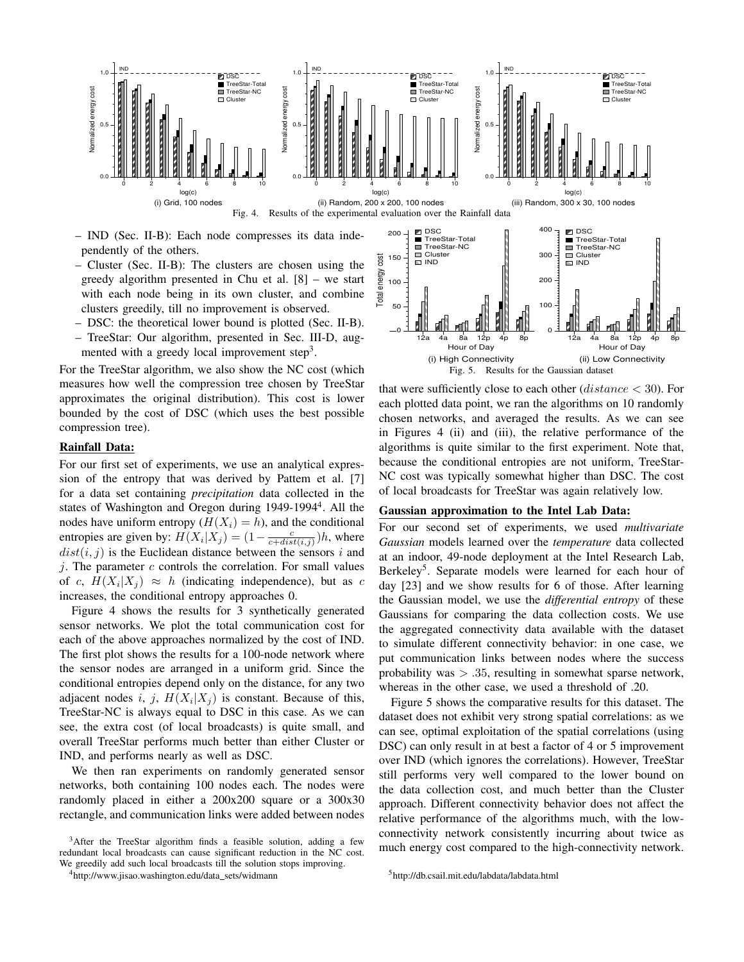

- IND (Sec. II-B): Each node compresses its data independently of the others.
- Cluster (Sec. II-B): The clusters are chosen using the greedy algorithm presented in Chu et al. [8] – we start with each node being in its own cluster, and combine clusters greedily, till no improvement is observed.
- DSC: the theoretical lower bound is plotted (Sec. II-B).
- TreeStar: Our algorithm, presented in Sec. III-D, augmented with a greedy local improvement step<sup>3</sup>.

For the TreeStar algorithm, we also show the NC cost (which measures how well the compression tree chosen by TreeStar approximates the original distribution). This cost is lower bounded by the cost of DSC (which uses the best possible compression tree).

# Rainfall Data:

For our first set of experiments, we use an analytical expression of the entropy that was derived by Pattem et al. [7] for a data set containing *precipitation* data collected in the states of Washington and Oregon during 1949-1994<sup>4</sup> . All the nodes have uniform entropy  $(H(X_i) = h)$ , and the conditional entropies are given by:  $H(X_i|X_j) = \left(1 - \frac{c}{c + dist(i,j)}\right)h$ , where  $dist(i, j)$  is the Euclidean distance between the sensors i and  $j$ . The parameter  $c$  controls the correlation. For small values of c,  $H(X_i|X_j) \approx h$  (indicating independence), but as c increases, the conditional entropy approaches 0.

Figure 4 shows the results for 3 synthetically generated sensor networks. We plot the total communication cost for each of the above approaches normalized by the cost of IND. The first plot shows the results for a 100-node network where the sensor nodes are arranged in a uniform grid. Since the conditional entropies depend only on the distance, for any two adjacent nodes i, j,  $H(X_i|X_j)$  is constant. Because of this, TreeStar-NC is always equal to DSC in this case. As we can see, the extra cost (of local broadcasts) is quite small, and overall TreeStar performs much better than either Cluster or IND, and performs nearly as well as DSC.

We then ran experiments on randomly generated sensor networks, both containing 100 nodes each. The nodes were randomly placed in either a 200x200 square or a 300x30 rectangle, and communication links were added between nodes

**Z** DSC 400 **■ DSC**<br>■ TreeStar-Total  $200 -$ TreeStar-Total TreeStar-NC TreeStar-Total TreeStar-NC **Cluster** 300 **□ Cluster** Total energy cost Total energy cost 150 ō IND ■ IND 200 100 100 50 иŒ 0 0 12a 4a 8a 12p 4p 8p 12a 4a 8a 12p 4p 8p Hour of Day Hour of Day (i) High Connectivity (ii) Low Connectivity Fig. 5. Results for the Gaussian dataset

that were sufficiently close to each other  $distance < 30$ . For each plotted data point, we ran the algorithms on 10 randomly chosen networks, and averaged the results. As we can see in Figures 4 (ii) and (iii), the relative performance of the algorithms is quite similar to the first experiment. Note that, because the conditional entropies are not uniform, TreeStar-NC cost was typically somewhat higher than DSC. The cost of local broadcasts for TreeStar was again relatively low.

# Gaussian approximation to the Intel Lab Data:

For our second set of experiments, we used *multivariate Gaussian* models learned over the *temperature* data collected at an indoor, 49-node deployment at the Intel Research Lab, Berkeley<sup>5</sup>. Separate models were learned for each hour of day [23] and we show results for 6 of those. After learning the Gaussian model, we use the *differential entropy* of these Gaussians for comparing the data collection costs. We use the aggregated connectivity data available with the dataset to simulate different connectivity behavior: in one case, we put communication links between nodes where the success probability was  $> .35$ , resulting in somewhat sparse network, whereas in the other case, we used a threshold of .20.

Figure 5 shows the comparative results for this dataset. The dataset does not exhibit very strong spatial correlations: as we can see, optimal exploitation of the spatial correlations (using DSC) can only result in at best a factor of 4 or 5 improvement over IND (which ignores the correlations). However, TreeStar still performs very well compared to the lower bound on the data collection cost, and much better than the Cluster approach. Different connectivity behavior does not affect the relative performance of the algorithms much, with the lowconnectivity network consistently incurring about twice as much energy cost compared to the high-connectivity network.

<sup>&</sup>lt;sup>3</sup>After the TreeStar algorithm finds a feasible solution, adding a few redundant local broadcasts can cause significant reduction in the NC cost. We greedily add such local broadcasts till the solution stops improving.

<sup>&</sup>lt;sup>4</sup>http://www.jisao.washington.edu/data\_sets/widmann

<sup>5</sup>http://db.csail.mit.edu/labdata/labdata.html